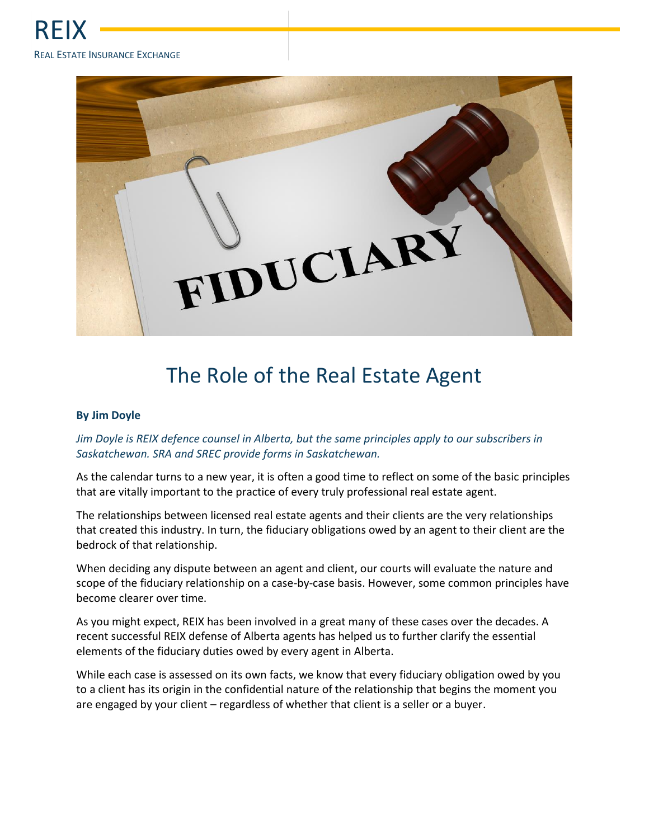

## The Role of the Real Estate Agent

## **By Jim Doyle**

## *Jim Doyle is REIX defence counsel in Alberta, but the same principles apply to our subscribers in Saskatchewan. SRA and SREC provide forms in Saskatchewan.*

As the calendar turns to a new year, it is often a good time to reflect on some of the basic principles that are vitally important to the practice of every truly professional real estate agent.

The relationships between licensed real estate agents and their clients are the very relationships that created this industry. In turn, the fiduciary obligations owed by an agent to their client are the bedrock of that relationship.

When deciding any dispute between an agent and client, our courts will evaluate the nature and scope of the fiduciary relationship on a case-by-case basis. However, some common principles have become clearer over time.

As you might expect, REIX has been involved in a great many of these cases over the decades. A recent successful REIX defense of Alberta agents has helped us to further clarify the essential elements of the fiduciary duties owed by every agent in Alberta.

While each case is assessed on its own facts, we know that every fiduciary obligation owed by you to a client has its origin in the confidential nature of the relationship that begins the moment you are engaged by your client – regardless of whether that client is a seller or a buyer.